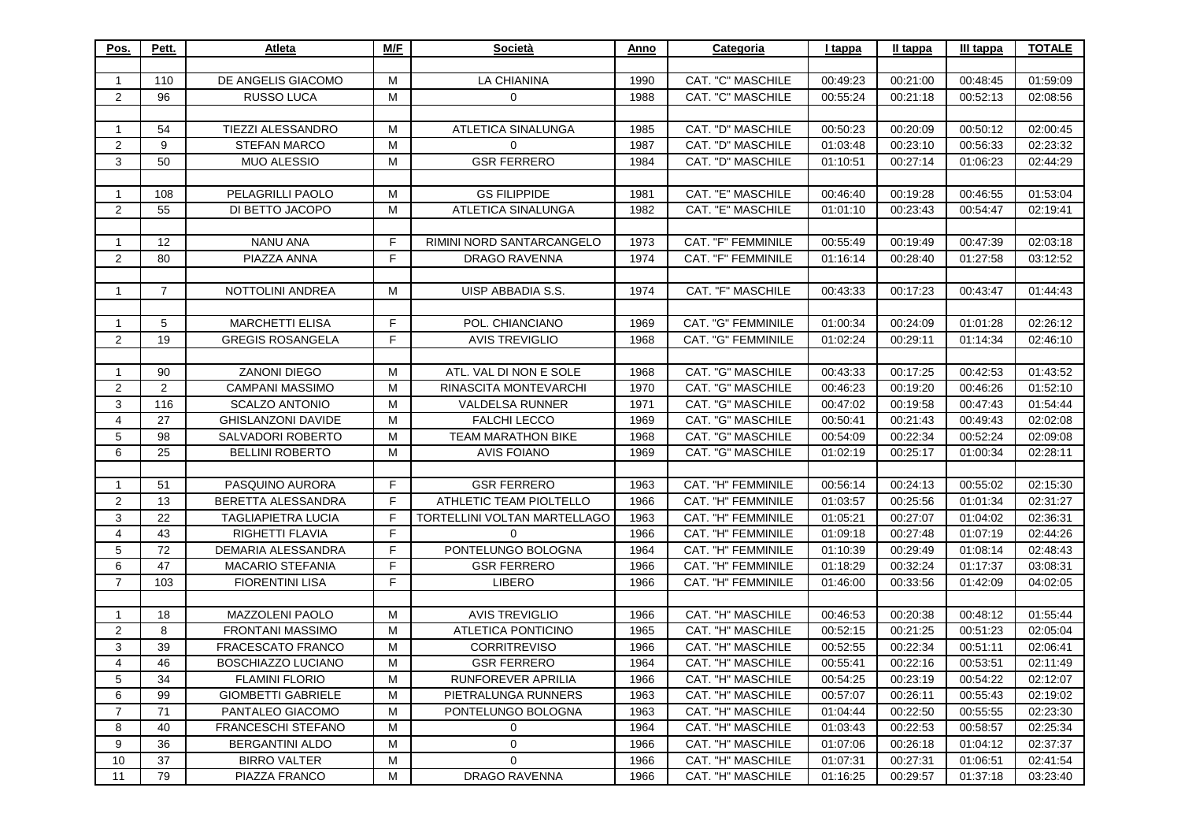| Pos.           | Pett.          | Atleta                    | M/F | Società                      | Anno | Categoria          | I tappa  | II tappa | III tappa | <b>TOTALE</b> |
|----------------|----------------|---------------------------|-----|------------------------------|------|--------------------|----------|----------|-----------|---------------|
|                |                |                           |     |                              |      |                    |          |          |           |               |
| -1             | 110            | DE ANGELIS GIACOMO        | м   | LA CHIANINA                  | 1990 | CAT. "C" MASCHILE  | 00:49:23 | 00:21:00 | 00:48:45  | 01:59:09      |
| 2              | 96             | RUSSO LUCA                | M   | 0                            | 1988 | CAT. "C" MASCHILE  | 00:55:24 | 00:21:18 | 00:52:13  | 02:08:56      |
|                |                |                           |     |                              |      |                    |          |          |           |               |
| 1              | 54             | <b>TIEZZI ALESSANDRO</b>  | м   | ATLETICA SINALUNGA           | 1985 | CAT. "D" MASCHILE  | 00:50:23 | 00:20:09 | 00:50:12  | 02:00:45      |
| 2              | 9              | <b>STEFAN MARCO</b>       | M   | $\Omega$                     | 1987 | CAT. "D" MASCHILE  | 01:03:48 | 00:23:10 | 00:56:33  | 02:23:32      |
| 3              | 50             | <b>MUO ALESSIO</b>        | M   | <b>GSR FERRERO</b>           | 1984 | CAT. "D" MASCHILE  | 01:10:51 | 00:27:14 | 01:06:23  | 02:44:29      |
|                |                |                           |     |                              |      |                    |          |          |           |               |
| 1              | 108            | PELAGRILLI PAOLO          | м   | <b>GS FILIPPIDE</b>          | 1981 | CAT. "E" MASCHILE  | 00:46:40 | 00:19:28 | 00:46:55  | 01:53:04      |
| 2              | 55             | DI BETTO JACOPO           | M   | ATLETICA SINALUNGA           | 1982 | CAT. "E" MASCHILE  | 01:01:10 | 00:23:43 | 00:54:47  | 02:19:41      |
|                |                |                           |     |                              |      |                    |          |          |           |               |
| 1              | 12             | <b>NANU ANA</b>           | F   | RIMINI NORD SANTARCANGELO    | 1973 | CAT. "F" FEMMINILE | 00:55:49 | 00:19:49 | 00:47:39  | 02:03:18      |
| $\overline{2}$ | 80             | PIAZZA ANNA               | F   | DRAGO RAVENNA                | 1974 | CAT. "F" FEMMINILE | 01:16:14 | 00:28:40 | 01:27:58  | 03:12:52      |
|                |                |                           |     |                              |      |                    |          |          |           |               |
| $\mathbf{1}$   | $\overline{7}$ | NOTTOLINI ANDREA          | M   | UISP ABBADIA S.S.            | 1974 | CAT. "F" MASCHILE  | 00:43:33 | 00:17:23 | 00:43:47  | 01:44:43      |
|                |                |                           |     |                              |      |                    |          |          |           |               |
| -1             | 5              | <b>MARCHETTI ELISA</b>    | F   | POL. CHIANCIANO              | 1969 | CAT. "G" FEMMINILE | 01:00:34 | 00:24:09 | 01:01:28  | 02:26:12      |
| 2              | 19             | <b>GREGIS ROSANGELA</b>   | F.  | <b>AVIS TREVIGLIO</b>        | 1968 | CAT. "G" FEMMINILE | 01:02:24 | 00:29:11 | 01:14:34  | 02:46:10      |
|                |                |                           |     |                              |      |                    |          |          |           |               |
| 1              | 90             | <b>ZANONI DIEGO</b>       | M   | ATL. VAL DI NON E SOLE       | 1968 | CAT. "G" MASCHILE  | 00:43:33 | 00:17:25 | 00:42:53  | 01:43:52      |
| 2              | 2              | <b>CAMPANI MASSIMO</b>    | M   | RINASCITA MONTEVARCHI        | 1970 | CAT. "G" MASCHILE  | 00:46:23 | 00:19:20 | 00:46:26  | 01:52:10      |
| 3              | 116            | <b>SCALZO ANTONIO</b>     | M   | <b>VALDELSA RUNNER</b>       | 1971 | CAT. "G" MASCHILE  | 00:47:02 | 00:19:58 | 00:47:43  | 01:54:44      |
| 4              | 27             | <b>GHISLANZONI DAVIDE</b> | M   | <b>FALCHI LECCO</b>          | 1969 | CAT. "G" MASCHILE  | 00:50:41 | 00:21:43 | 00:49:43  | 02:02:08      |
| 5              | 98             | SALVADORI ROBERTO         | M   | <b>TEAM MARATHON BIKE</b>    | 1968 | CAT. "G" MASCHILE  | 00:54:09 | 00:22:34 | 00:52:24  | 02:09:08      |
| 6              | 25             | <b>BELLINI ROBERTO</b>    | м   | <b>AVIS FOIANO</b>           | 1969 | CAT. "G" MASCHILE  | 01:02:19 | 00:25:17 | 01:00:34  | 02:28:11      |
|                |                |                           |     |                              |      |                    |          |          |           |               |
| -1             | 51             | PASQUINO AURORA           | F   | <b>GSR FERRERO</b>           | 1963 | CAT. "H" FEMMINILE | 00:56:14 | 00:24:13 | 00:55:02  | 02:15:30      |
| 2              | 13             | BERETTA ALESSANDRA        | F   | ATHLETIC TEAM PIOLTELLO      | 1966 | CAT. "H" FEMMINILE | 01:03:57 | 00:25:56 | 01:01:34  | 02:31:27      |
| 3              | 22             | <b>TAGLIAPIETRA LUCIA</b> | F   | TORTELLINI VOLTAN MARTELLAGO | 1963 | CAT. "H" FEMMINILE | 01:05:21 | 00:27:07 | 01:04:02  | 02:36:31      |
| 4              | 43             | RIGHETTI FLAVIA           | F   | $\Omega$                     | 1966 | CAT. "H" FEMMINILE | 01:09:18 | 00:27:48 | 01:07:19  | 02:44:26      |
| 5              | 72             | DEMARIA ALESSANDRA        | F   | PONTELUNGO BOLOGNA           | 1964 | CAT. "H" FEMMINILE | 01:10:39 | 00:29:49 | 01:08:14  | 02:48:43      |
| 6              | 47             | <b>MACARIO STEFANIA</b>   | F   | <b>GSR FERRERO</b>           | 1966 | CAT. "H" FEMMINILE | 01:18:29 | 00:32:24 | 01:17:37  | 03:08:31      |
| $\overline{7}$ | 103            | <b>FIORENTINI LISA</b>    | F   | <b>LIBERO</b>                | 1966 | CAT. "H" FEMMINILE | 01:46:00 | 00:33:56 | 01:42:09  | 04:02:05      |
|                |                |                           |     |                              |      |                    |          |          |           |               |
| 1              | 18             | <b>MAZZOLENI PAOLO</b>    | M   | <b>AVIS TREVIGLIO</b>        | 1966 | CAT. "H" MASCHILE  | 00:46:53 | 00:20:38 | 00:48:12  | 01:55:44      |
| 2              | 8              | <b>FRONTANI MASSIMO</b>   | M   | <b>ATLETICA PONTICINO</b>    | 1965 | CAT. "H" MASCHILE  | 00:52:15 | 00:21:25 | 00:51:23  | 02:05:04      |
| 3              | 39             | FRACESCATO FRANCO         | м   | <b>CORRITREVISO</b>          | 1966 | CAT. "H" MASCHILE  | 00:52:55 | 00:22:34 | 00:51:11  | 02:06:41      |
| $\overline{4}$ | 46             | BOSCHIAZZO LUCIANO        | м   | <b>GSR FERRERO</b>           | 1964 | CAT. "H" MASCHILE  | 00:55:41 | 00:22:16 | 00:53:51  | 02:11:49      |
| 5              | 34             | <b>FLAMINI FLORIO</b>     | M   | RUNFOREVER APRILIA           | 1966 | CAT. "H" MASCHILE  | 00:54:25 | 00:23:19 | 00:54:22  | 02:12:07      |
| 6              | 99             | <b>GIOMBETTI GABRIELE</b> | M   | PIETRALUNGA RUNNERS          | 1963 | CAT. "H" MASCHILE  | 00:57:07 | 00:26:11 | 00:55:43  | 02:19:02      |
| $\overline{7}$ | 71             | PANTALEO GIACOMO          | M   | PONTELUNGO BOLOGNA           | 1963 | CAT. "H" MASCHILE  | 01:04:44 | 00:22:50 | 00:55:55  | 02:23:30      |
| 8              | 40             | <b>FRANCESCHI STEFANO</b> | M   | 0                            | 1964 | CAT. "H" MASCHILE  | 01:03:43 | 00:22:53 | 00:58:57  | 02:25:34      |
| 9              | 36             | <b>BERGANTINI ALDO</b>    | M   | 0                            | 1966 | CAT. "H" MASCHILE  | 01:07:06 | 00:26:18 | 01:04:12  | 02:37:37      |
| 10             | 37             | <b>BIRRO VALTER</b>       | M   | $\Omega$                     | 1966 | CAT. "H" MASCHILE  | 01:07:31 | 00:27:31 | 01:06:51  | 02:41:54      |
| 11             | 79             | PIAZZA FRANCO             | М   | DRAGO RAVENNA                | 1966 | CAT. "H" MASCHILE  | 01:16:25 | 00:29:57 | 01:37:18  | 03:23:40      |
|                |                |                           |     |                              |      |                    |          |          |           |               |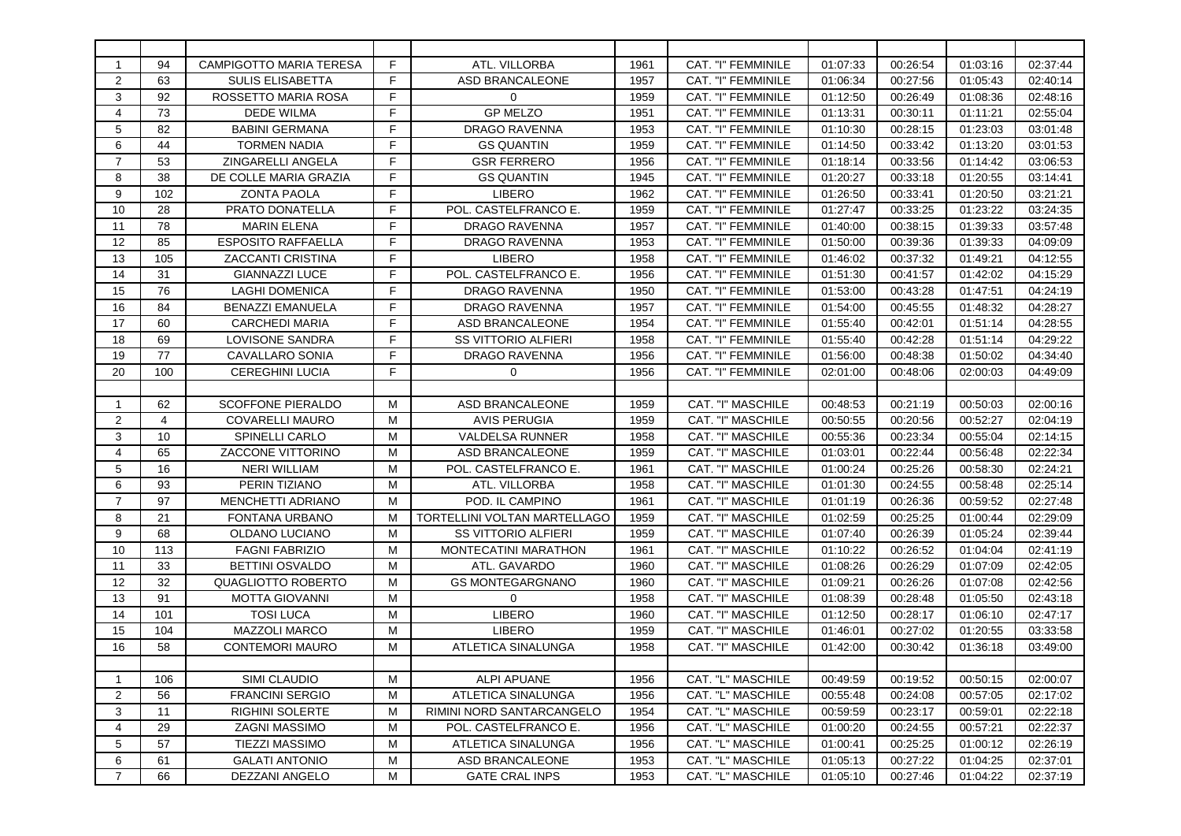| $\mathbf{1}$   | 94             | <b>CAMPIGOTTO MARIA TERESA</b> | F | ATL. VILLORBA                | 1961 | CAT. "I" FEMMINILE       | 01:07:33 | 00:26:54 | 01:03:16 | 02:37:44 |
|----------------|----------------|--------------------------------|---|------------------------------|------|--------------------------|----------|----------|----------|----------|
| 2              | 63             | <b>SULIS ELISABETTA</b>        | F | ASD BRANCALEONE              | 1957 | CAT. "I" FEMMINILE       | 01:06:34 | 00:27:56 | 01:05:43 | 02:40:14 |
| 3              | 92             | ROSSETTO MARIA ROSA            | F | 0                            | 1959 | CAT. "I" FEMMINILE       | 01:12:50 | 00:26:49 | 01:08:36 | 02:48:16 |
| 4              | 73             | <b>DEDE WILMA</b>              | F | <b>GP MELZO</b>              | 1951 | CAT. "I" FEMMINILE       | 01:13:31 | 00:30:11 | 01:11:21 | 02:55:04 |
| 5              | 82             | <b>BABINI GERMANA</b>          | E | <b>DRAGO RAVENNA</b>         | 1953 | CAT. "I" FEMMINILE       | 01:10:30 | 00:28:15 | 01:23:03 | 03:01:48 |
| 6              | 44             | <b>TORMEN NADIA</b>            | E | <b>GS QUANTIN</b>            | 1959 | CAT. "I" FEMMINILE       | 01:14:50 | 00:33:42 | 01:13:20 | 03:01:53 |
| $\overline{7}$ | 53             | ZINGARELLI ANGELA              | F | <b>GSR FERRERO</b>           | 1956 | CAT. "I" FEMMINILE       | 01:18:14 | 00:33:56 | 01:14:42 | 03:06:53 |
| 8              | 38             | DE COLLE MARIA GRAZIA          | F | <b>GS QUANTIN</b>            | 1945 | CAT. "I" FEMMINILE       | 01:20:27 | 00:33:18 | 01:20:55 | 03:14:41 |
| 9              | 102            | <b>ZONTA PAOLA</b>             | E | <b>LIBERO</b>                | 1962 | CAT. "I" FEMMINILE       | 01:26:50 | 00:33:41 | 01:20:50 | 03:21:21 |
| 10             | 28             | <b>PRATO DONATELLA</b>         | E | POL. CASTELFRANCO E.         | 1959 | CAT. "I" FEMMINILE       | 01:27:47 | 00:33:25 | 01:23:22 | 03:24:35 |
| 11             | 78             | <b>MARIN ELENA</b>             | F | <b>DRAGO RAVENNA</b>         | 1957 | CAT. "I" FEMMINILE       | 01:40:00 | 00:38:15 | 01:39:33 | 03:57:48 |
| 12             | 85             | <b>ESPOSITO RAFFAELLA</b>      | F | DRAGO RAVENNA                | 1953 | CAT. "I" FEMMINILE       | 01:50:00 | 00:39:36 | 01:39:33 | 04:09:09 |
| 13             | 105            | <b>ZACCANTI CRISTINA</b>       | F | <b>LIBERO</b>                | 1958 | CAT. "I" FEMMINILE       | 01:46:02 | 00:37:32 | 01:49:21 | 04:12:55 |
| 14             | 31             | <b>GIANNAZZI LUCE</b>          | F | POL. CASTELFRANCO E.         | 1956 | CAT. "I" FEMMINILE       | 01:51:30 | 00:41:57 | 01:42:02 | 04:15:29 |
| 15             | 76             | <b>LAGHI DOMENICA</b>          | F | <b>DRAGO RAVENNA</b>         | 1950 | CAT. "I" FEMMINILE       | 01:53:00 | 00:43:28 | 01:47:51 | 04:24:19 |
| 16             | 84             | <b>BENAZZI EMANUELA</b>        | F | <b>DRAGO RAVENNA</b>         | 1957 | CAT. "I" FEMMINILE       | 01:54:00 | 00:45:55 | 01:48:32 | 04:28:27 |
| 17             | 60             | <b>CARCHEDI MARIA</b>          | E | ASD BRANCALEONE              | 1954 | CAT. "I" FEMMINILE       | 01:55:40 | 00:42:01 | 01:51:14 | 04:28:55 |
| 18             | 69             | <b>LOVISONE SANDRA</b>         | E | <b>SS VITTORIO ALFIERI</b>   | 1958 | CAT. "I" FEMMINILE       | 01:55:40 | 00:42:28 | 01:51:14 | 04:29:22 |
| 19             | 77             | CAVALLARO SONIA                | F | <b>DRAGO RAVENNA</b>         | 1956 | CAT. "I" FEMMINILE       | 01:56:00 | 00:48:38 | 01:50:02 | 04:34:40 |
| 20             | 100            | <b>CEREGHINI LUCIA</b>         | F | $\mathbf 0$                  | 1956 | CAT. "I" FEMMINILE       | 02:01:00 | 00:48:06 | 02:00:03 | 04:49:09 |
|                |                |                                |   |                              |      |                          |          |          |          |          |
| -1             | 62             | <b>SCOFFONE PIERALDO</b>       | M | ASD BRANCALEONE              | 1959 | CAT. "I" MASCHILE        | 00:48:53 | 00:21:19 | 00:50:03 | 02:00:16 |
| 2              | $\overline{4}$ | <b>COVARELLI MAURO</b>         | M | <b>AVIS PERUGIA</b>          | 1959 | <b>CAT. "I" MASCHILE</b> | 00:50:55 | 00:20:56 | 00:52:27 | 02:04:19 |
| 3              | 10             | <b>SPINELLI CARLO</b>          | M | <b>VALDELSA RUNNER</b>       | 1958 | CAT. "I" MASCHILE        | 00:55:36 | 00:23:34 | 00:55:04 | 02:14:15 |
| 4              | 65             | ZACCONE VITTORINO              | M | ASD BRANCALEONE              | 1959 | CAT. "I" MASCHILE        | 01:03:01 | 00:22:44 | 00:56:48 | 02:22:34 |
| 5              | 16             | <b>NERI WILLIAM</b>            | м | POL. CASTELFRANCO E.         | 1961 | CAT. "I" MASCHILE        | 01:00:24 | 00:25:26 | 00:58:30 | 02:24:21 |
| 6              | 93             | PERIN TIZIANO                  | M | ATL. VILLORBA                | 1958 | CAT. "I" MASCHILE        | 01:01:30 | 00:24:55 | 00:58:48 | 02:25:14 |
| $\overline{7}$ | 97             | <b>MENCHETTI ADRIANO</b>       | M | POD. IL CAMPINO              | 1961 | CAT. "I" MASCHILE        | 01:01:19 | 00:26:36 | 00:59:52 | 02:27:48 |
| 8              | 21             | <b>FONTANA URBANO</b>          | M | TORTELLINI VOLTAN MARTELLAGO | 1959 | CAT. "I" MASCHILE        | 01:02:59 | 00:25:25 | 01:00:44 | 02:29:09 |
| 9              | 68             | OLDANO LUCIANO                 | M | <b>SS VITTORIO ALFIERI</b>   | 1959 | CAT. "I" MASCHILE        | 01:07:40 | 00:26:39 | 01:05:24 | 02:39:44 |
| 10             | 113            | <b>FAGNI FABRIZIO</b>          | M | MONTECATINI MARATHON         | 1961 | CAT. "I" MASCHILE        | 01:10:22 | 00:26:52 | 01:04:04 | 02:41:19 |
| 11             | 33             | <b>BETTINI OSVALDO</b>         | M | ATL. GAVARDO                 | 1960 | CAT. "I" MASCHILE        | 01:08:26 | 00:26:29 | 01:07:09 | 02:42:05 |
| 12             | 32             | QUAGLIOTTO ROBERTO             | M | <b>GS MONTEGARGNANO</b>      | 1960 | CAT. "I" MASCHILE        | 01:09:21 | 00:26:26 | 01:07:08 | 02:42:56 |
| 13             | 91             | <b>MOTTA GIOVANNI</b>          | M | $\Omega$                     | 1958 | CAT. "I" MASCHILE        | 01:08:39 | 00:28:48 | 01:05:50 | 02:43:18 |
| 14             | 101            | <b>TOSI LUCA</b>               | M | <b>LIBERO</b>                | 1960 | CAT. "I" MASCHILE        | 01:12:50 | 00:28:17 | 01:06:10 | 02:47:17 |
| 15             | 104            | <b>MAZZOLI MARCO</b>           | M | <b>LIBERO</b>                | 1959 | CAT. "I" MASCHILE        | 01:46:01 | 00:27:02 | 01:20:55 | 03:33:58 |
| 16             | 58             | <b>CONTEMORI MAURO</b>         | M | ATLETICA SINALUNGA           | 1958 | CAT. "I" MASCHILE        | 01:42:00 | 00:30:42 | 01:36:18 | 03:49:00 |
|                |                |                                |   |                              |      |                          |          |          |          |          |
| $\mathbf{1}$   | 106            | SIMI CLAUDIO                   | М | ALPI APUANE                  | 1956 | CAT. "L" MASCHILE        | 00:49:59 | 00:19:52 | 00:50:15 | 02:00:07 |
| 2              | 56             | <b>FRANCINI SERGIO</b>         | M | ATLETICA SINALUNGA           | 1956 | CAT. "L" MASCHILE        | 00:55:48 | 00:24:08 | 00:57:05 | 02:17:02 |
| 3              | 11             | <b>RIGHINI SOLERTE</b>         | M | RIMINI NORD SANTARCANGELO    | 1954 | CAT. "L" MASCHILE        | 00:59:59 | 00:23:17 | 00:59:01 | 02:22:18 |
| 4              | 29             | <b>ZAGNI MASSIMO</b>           | M | POL. CASTELFRANCO E.         | 1956 | CAT. "L" MASCHILE        | 01:00:20 | 00:24:55 | 00:57:21 | 02:22:37 |
| 5              | 57             | <b>TIEZZI MASSIMO</b>          | M | ATLETICA SINALUNGA           | 1956 | CAT. "L" MASCHILE        | 01:00:41 | 00:25:25 | 01:00:12 | 02:26:19 |
| 6              | 61             | <b>GALATI ANTONIO</b>          | М | ASD BRANCALEONE              | 1953 | CAT. "L" MASCHILE        | 01:05:13 | 00:27:22 | 01:04:25 | 02:37:01 |
| $\overline{7}$ | 66             | DEZZANI ANGELO                 | М | <b>GATE CRAL INPS</b>        | 1953 | CAT. "L" MASCHILE        | 01:05:10 | 00:27:46 | 01:04:22 | 02:37:19 |